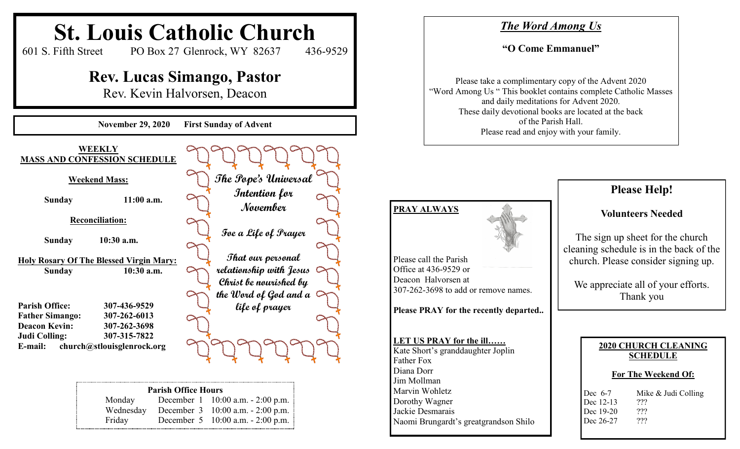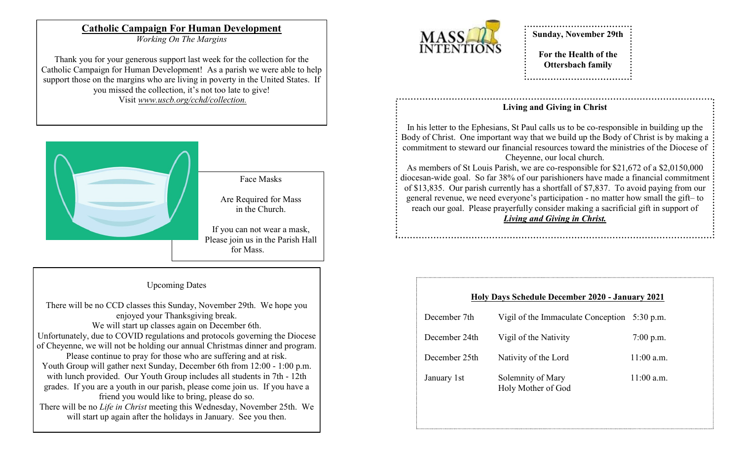## **Catholic Campaign For Human Development**

*Working On The Margins*

Thank you for your generous support last week for the collection for the Catholic Campaign for Human Development! As a parish we were able to help support those on the margins who are living in poverty in the United States. If you missed the collection, it's not too late to give! Visit *www.uscb.org/cchd/collection.*



#### Upcoming Dates

There will be no CCD classes this Sunday, November 29th. We hope you enjoyed your Thanksgiving break. We will start up classes again on December 6th. Unfortunately, due to COVID regulations and protocols governing the Diocese of Cheyenne, we will not be holding our annual Christmas dinner and program. Please continue to pray for those who are suffering and at risk. Youth Group will gather next Sunday, December 6th from 12:00 - 1:00 p.m. with lunch provided. Our Youth Group includes all students in 7th - 12th grades. If you are a youth in our parish, please come join us. If you have a friend you would like to bring, please do so. There will be no *Life in Christ* meeting this Wednesday, November 25th. We will start up again after the holidays in January. See you then.



# **Sunday, November 29th**

**For the Health of the Ottersbach family**

## **Living and Giving in Christ**

In his letter to the Ephesians, St Paul calls us to be co-responsible in building up the Body of Christ. One important way that we build up the Body of Christ is by making a commitment to steward our financial resources toward the ministries of the Diocese of Cheyenne, our local church.

As members of St Louis Parish, we are co-responsible for \$21,672 of a \$2,0150,000 diocesan-wide goal. So far 38% of our parishioners have made a financial commitment of \$13,835. Our parish currently has a shortfall of \$7,837. To avoid paying from our general revenue, we need everyone's participation - no matter how small the gift– to reach our goal. Please prayerfully consider making a sacrificial gift in support of *Living and Giving in Christ.*

#### **Holy Days Schedule December 2020 - January 2021**

| December 7th  | Vigil of the Immaculate Conception 5:30 p.m. |              |
|---------------|----------------------------------------------|--------------|
| December 24th | Vigil of the Nativity                        | $7:00$ p.m.  |
| December 25th | Nativity of the Lord                         | $11:00$ a.m. |
| January 1st   | Solemnity of Mary<br>Holy Mother of God      | $11:00$ a.m. |